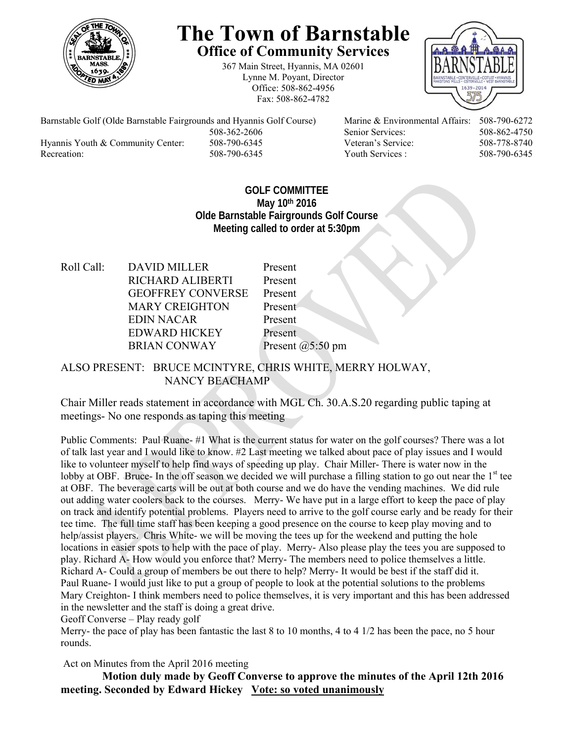

## **The Town of Barnstable Office of Community Services**

367 Main Street, Hyannis, MA 02601 Lynne M. Poyant, Director Office: 508-862-4956 Fax: 508-862-4782



Barnstable Golf (Olde Barnstable Fairgrounds and Hyannis Golf Course) Marine & Environmental Affairs: 508-790-6272 508-362-2606 Senior Services: 508-862-4750 Hyannis Youth & Community Center: 508-790-6345 Veteran's Service: 508-778-8740 Recreation: 508-790-6345 Youth Services : 508-790-6345 S08-790-6345

## **GOLF COMMITTEE May 10th 2016 Olde Barnstable Fairgrounds Golf Course Meeting called to order at 5:30pm**

Roll Call: DAVID MILLER Present RICHARD ALIBERTI Present GEOFFREY CONVERSE Present MARY CREIGHTON Present EDIN NACAR Present EDWARD HICKEY Present BRIAN CONWAY Present @5:50 pm

ALSO PRESENT: BRUCE MCINTYRE, CHRIS WHITE, MERRY HOLWAY, NANCY BEACHAMP

Chair Miller reads statement in accordance with MGL Ch. 30.A.S.20 regarding public taping at meetings- No one responds as taping this meeting

Public Comments: Paul Ruane- #1 What is the current status for water on the golf courses? There was a lot of talk last year and I would like to know. #2 Last meeting we talked about pace of play issues and I would like to volunteer myself to help find ways of speeding up play. Chair Miller- There is water now in the lobby at OBF. Bruce- In the off season we decided we will purchase a filling station to go out near the  $1<sup>st</sup>$  tee at OBF. The beverage carts will be out at both course and we do have the vending machines. We did rule out adding water coolers back to the courses. Merry- We have put in a large effort to keep the pace of play on track and identify potential problems. Players need to arrive to the golf course early and be ready for their tee time. The full time staff has been keeping a good presence on the course to keep play moving and to help/assist players. Chris White- we will be moving the tees up for the weekend and putting the hole locations in easier spots to help with the pace of play. Merry- Also please play the tees you are supposed to play. Richard A- How would you enforce that? Merry- The members need to police themselves a little. Richard A- Could a group of members be out there to help? Merry- It would be best if the staff did it. Paul Ruane- I would just like to put a group of people to look at the potential solutions to the problems Mary Creighton- I think members need to police themselves, it is very important and this has been addressed in the newsletter and the staff is doing a great drive.

Geoff Converse – Play ready golf

Merry- the pace of play has been fantastic the last 8 to 10 months, 4 to 4 1/2 has been the pace, no 5 hour rounds.

Act on Minutes from the April 2016 meeting

 **Motion duly made by Geoff Converse to approve the minutes of the April 12th 2016 meeting. Seconded by Edward Hickey Vote: so voted unanimously**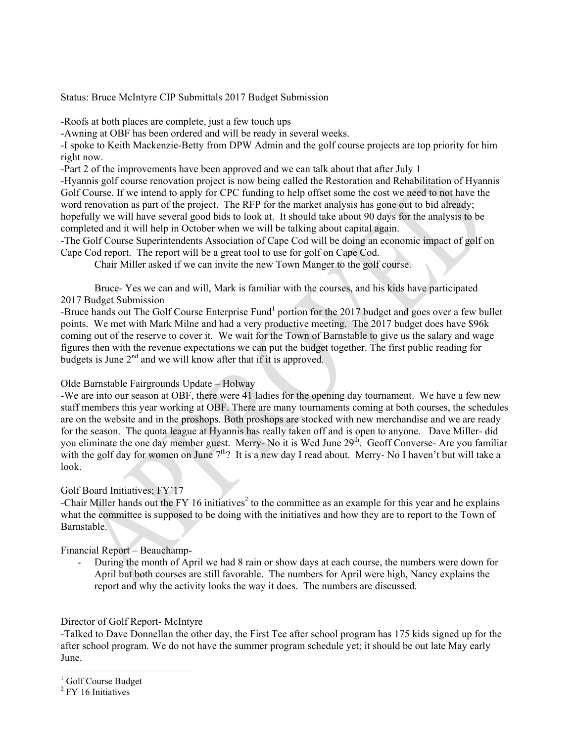Status: Bruce McIntyre CIP Submittals 2017 Budget Submission

-Roofs at both places are complete, just a few touch ups

-Awning at OBF has been ordered and will be ready in several weeks.

-I spoke to Keith Mackenzie-Betty from DPW Admin and the golf course projects are top priority for him right now.

-Part 2 of the improvements have been approved and we can talk about that after July 1

-Hyannis golf course renovation project is now being called the Restoration and Rehabilitation of Hyannis Golf Course. If we intend to apply for CPC funding to help offset some the cost we need to not have the word renovation as part of the project. The RFP for the market analysis has gone out to bid already; hopefully we will have several good bids to look at. It should take about 90 days for the analysis to be completed and it will help in October when we will be talking about capital again.

-The Golf Course Superintendents Association of Cape Cod will be doing an economic impact of golf on Cape Cod report. The report will be a great tool to use for golf on Cape Cod.

Chair Miller asked if we can invite the new Town Manger to the golf course.

Bruce- Yes we can and will, Mark is familiar with the courses, and his kids have participated 2017 Budget Submission

-Bruce hands out The Golf Course Enterprise Fund<sup>1</sup> portion for the 2017 budget and goes over a few bullet points. We met with Mark Milne and had a very productive meeting. The 2017 budget does have \$96k coming out of the reserve to cover it. We wait for the Town of Barnstable to give us the salary and wage figures then with the revenue expectations we can put the budget together. The first public reading for budgets is June  $2<sup>nd</sup>$  and we will know after that if it is approved.

Olde Barnstable Fairgrounds Update – Holway

-We are into our season at OBF, there were 41 ladies for the opening day tournament. We have a few new staff members this year working at OBF. There are many tournaments coming at both courses, the schedules are on the website and in the proshops. Both proshops are stocked with new merchandise and we are ready for the season. The quota league at Hyannis has really taken off and is open to anyone. Dave Miller- did you eliminate the one day member guest. Merry- No it is Wed June 29<sup>th</sup>. Geoff Converse- Are you familiar with the golf day for women on June  $7<sup>th</sup>$ ? It is a new day I read about. Merry- No I haven't but will take a look.

## Golf Board Initiatives; FY'17

-Chair Miller hands out the FY 16 initiatives<sup>2</sup> to the committee as an example for this year and he explains what the committee is supposed to be doing with the initiatives and how they are to report to the Town of Barnstable.

Financial Report – Beauchamp-

- During the month of April we had 8 rain or show days at each course, the numbers were down for April but both courses are still favorable. The numbers for April were high, Nancy explains the report and why the activity looks the way it does. The numbers are discussed.

Director of Golf Report- McIntyre

-Talked to Dave Donnellan the other day, the First Tee after school program has 175 kids signed up for the after school program. We do not have the summer program schedule yet; it should be out late May early June.

l

<sup>&</sup>lt;sup>1</sup> Golf Course Budget

<sup>&</sup>lt;sup>2</sup> FY 16 Initiatives